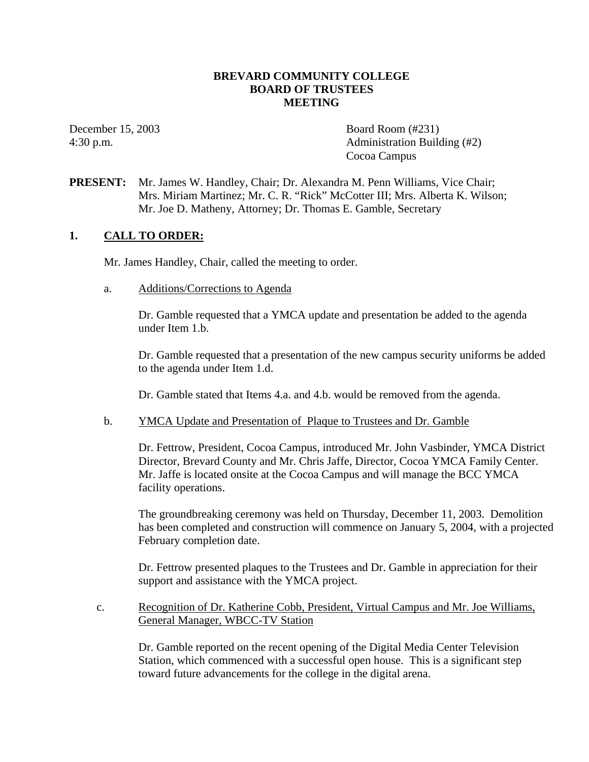#### **BREVARD COMMUNITY COLLEGE BOARD OF TRUSTEES MEETING**

December 15, 2003 Board Room (#231) 4:30 p.m. Administration Building (#2) Cocoa Campus

**PRESENT:** Mr. James W. Handley, Chair; Dr. Alexandra M. Penn Williams, Vice Chair; Mrs. Miriam Martinez; Mr. C. R. "Rick" McCotter III; Mrs. Alberta K. Wilson; Mr. Joe D. Matheny, Attorney; Dr. Thomas E. Gamble, Secretary

#### **1. CALL TO ORDER:**

Mr. James Handley, Chair, called the meeting to order.

a. Additions/Corrections to Agenda

Dr. Gamble requested that a YMCA update and presentation be added to the agenda under Item 1.b.

Dr. Gamble requested that a presentation of the new campus security uniforms be added to the agenda under Item 1.d.

Dr. Gamble stated that Items 4.a. and 4.b. would be removed from the agenda.

b. YMCA Update and Presentation of Plaque to Trustees and Dr. Gamble

Dr. Fettrow, President, Cocoa Campus, introduced Mr. John Vasbinder, YMCA District Director, Brevard County and Mr. Chris Jaffe, Director, Cocoa YMCA Family Center. Mr. Jaffe is located onsite at the Cocoa Campus and will manage the BCC YMCA facility operations.

The groundbreaking ceremony was held on Thursday, December 11, 2003. Demolition has been completed and construction will commence on January 5, 2004, with a projected February completion date.

Dr. Fettrow presented plaques to the Trustees and Dr. Gamble in appreciation for their support and assistance with the YMCA project.

 c. Recognition of Dr. Katherine Cobb, President, Virtual Campus and Mr. Joe Williams, General Manager, WBCC-TV Station

Dr. Gamble reported on the recent opening of the Digital Media Center Television Station, which commenced with a successful open house. This is a significant step toward future advancements for the college in the digital arena.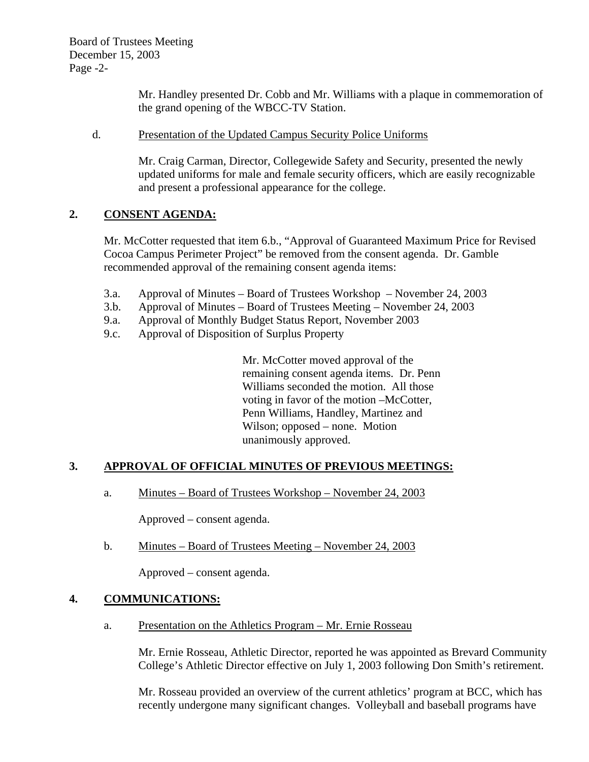Board of Trustees Meeting December 15, 2003 Page -2-

> Mr. Handley presented Dr. Cobb and Mr. Williams with a plaque in commemoration of the grand opening of the WBCC-TV Station.

#### d. Presentation of the Updated Campus Security Police Uniforms

Mr. Craig Carman, Director, Collegewide Safety and Security, presented the newly updated uniforms for male and female security officers, which are easily recognizable and present a professional appearance for the college.

# **2. CONSENT AGENDA:**

Mr. McCotter requested that item 6.b., "Approval of Guaranteed Maximum Price for Revised Cocoa Campus Perimeter Project" be removed from the consent agenda. Dr. Gamble recommended approval of the remaining consent agenda items:

- 3.a. Approval of Minutes Board of Trustees Workshop November 24, 2003
- 3.b. Approval of Minutes Board of Trustees Meeting November 24, 2003
- 9.a. Approval of Monthly Budget Status Report, November 2003
- 9.c. Approval of Disposition of Surplus Property

Mr. McCotter moved approval of the remaining consent agenda items. Dr. Penn Williams seconded the motion. All those voting in favor of the motion –McCotter, Penn Williams, Handley, Martinez and Wilson; opposed – none. Motion unanimously approved.

### **3. APPROVAL OF OFFICIAL MINUTES OF PREVIOUS MEETINGS:**

a. Minutes – Board of Trustees Workshop – November 24, 2003

Approved – consent agenda.

b. Minutes – Board of Trustees Meeting – November 24, 2003

Approved – consent agenda.

#### **4. COMMUNICATIONS:**

a. Presentation on the Athletics Program – Mr. Ernie Rosseau

Mr. Ernie Rosseau, Athletic Director, reported he was appointed as Brevard Community College's Athletic Director effective on July 1, 2003 following Don Smith's retirement.

Mr. Rosseau provided an overview of the current athletics' program at BCC, which has recently undergone many significant changes. Volleyball and baseball programs have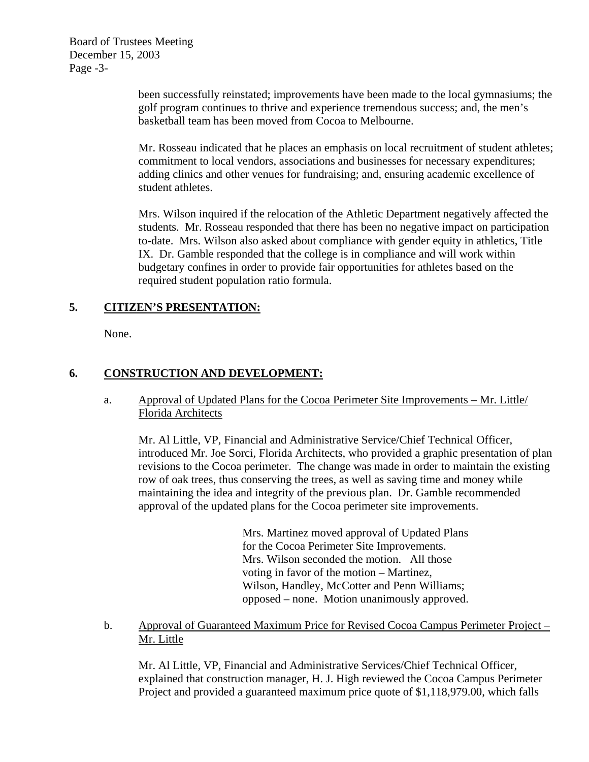Board of Trustees Meeting December 15, 2003 Page -3-

> been successfully reinstated; improvements have been made to the local gymnasiums; the golf program continues to thrive and experience tremendous success; and, the men's basketball team has been moved from Cocoa to Melbourne.

> Mr. Rosseau indicated that he places an emphasis on local recruitment of student athletes; commitment to local vendors, associations and businesses for necessary expenditures; adding clinics and other venues for fundraising; and, ensuring academic excellence of student athletes.

> Mrs. Wilson inquired if the relocation of the Athletic Department negatively affected the students. Mr. Rosseau responded that there has been no negative impact on participation to-date. Mrs. Wilson also asked about compliance with gender equity in athletics, Title IX. Dr. Gamble responded that the college is in compliance and will work within budgetary confines in order to provide fair opportunities for athletes based on the required student population ratio formula.

### **5. CITIZEN'S PRESENTATION:**

None.

# **6. CONSTRUCTION AND DEVELOPMENT:**

### a. Approval of Updated Plans for the Cocoa Perimeter Site Improvements – Mr. Little/ Florida Architects

Mr. Al Little, VP, Financial and Administrative Service/Chief Technical Officer, introduced Mr. Joe Sorci, Florida Architects, who provided a graphic presentation of plan revisions to the Cocoa perimeter. The change was made in order to maintain the existing row of oak trees, thus conserving the trees, as well as saving time and money while maintaining the idea and integrity of the previous plan. Dr. Gamble recommended approval of the updated plans for the Cocoa perimeter site improvements.

> Mrs. Martinez moved approval of Updated Plans for the Cocoa Perimeter Site Improvements. Mrs. Wilson seconded the motion. All those voting in favor of the motion – Martinez, Wilson, Handley, McCotter and Penn Williams; opposed – none. Motion unanimously approved.

b. Approval of Guaranteed Maximum Price for Revised Cocoa Campus Perimeter Project – Mr. Little

Mr. Al Little, VP, Financial and Administrative Services/Chief Technical Officer, explained that construction manager, H. J. High reviewed the Cocoa Campus Perimeter Project and provided a guaranteed maximum price quote of \$1,118,979.00, which falls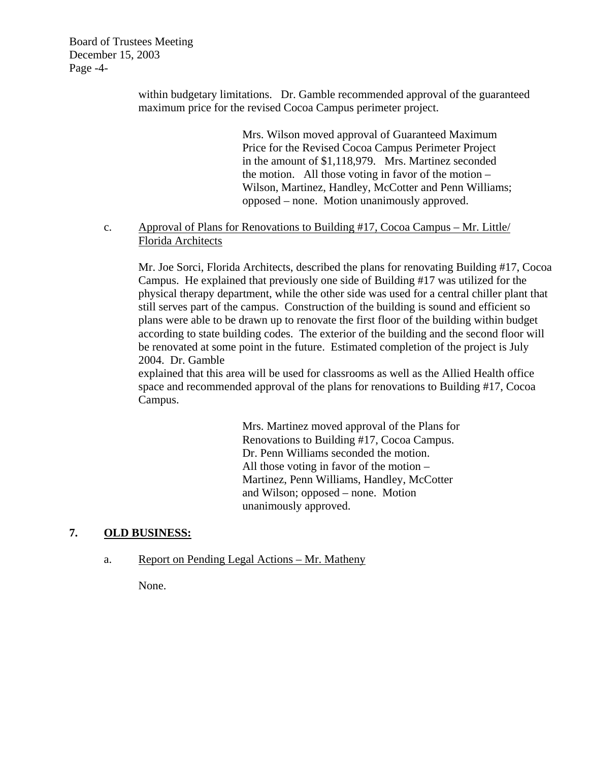Board of Trustees Meeting December 15, 2003 Page -4-

> within budgetary limitations. Dr. Gamble recommended approval of the guaranteed maximum price for the revised Cocoa Campus perimeter project.

> > Mrs. Wilson moved approval of Guaranteed Maximum Price for the Revised Cocoa Campus Perimeter Project in the amount of \$1,118,979. Mrs. Martinez seconded the motion. All those voting in favor of the motion – Wilson, Martinez, Handley, McCotter and Penn Williams; opposed – none. Motion unanimously approved.

#### c. Approval of Plans for Renovations to Building #17, Cocoa Campus – Mr. Little/ Florida Architects

Mr. Joe Sorci, Florida Architects, described the plans for renovating Building #17, Cocoa Campus. He explained that previously one side of Building #17 was utilized for the physical therapy department, while the other side was used for a central chiller plant that still serves part of the campus. Construction of the building is sound and efficient so plans were able to be drawn up to renovate the first floor of the building within budget according to state building codes. The exterior of the building and the second floor will be renovated at some point in the future. Estimated completion of the project is July 2004. Dr. Gamble

explained that this area will be used for classrooms as well as the Allied Health office space and recommended approval of the plans for renovations to Building #17, Cocoa Campus.

> Mrs. Martinez moved approval of the Plans for Renovations to Building #17, Cocoa Campus. Dr. Penn Williams seconded the motion. All those voting in favor of the motion – Martinez, Penn Williams, Handley, McCotter and Wilson; opposed – none. Motion unanimously approved.

#### **7. OLD BUSINESS:**

#### a. Report on Pending Legal Actions – Mr. Matheny

None.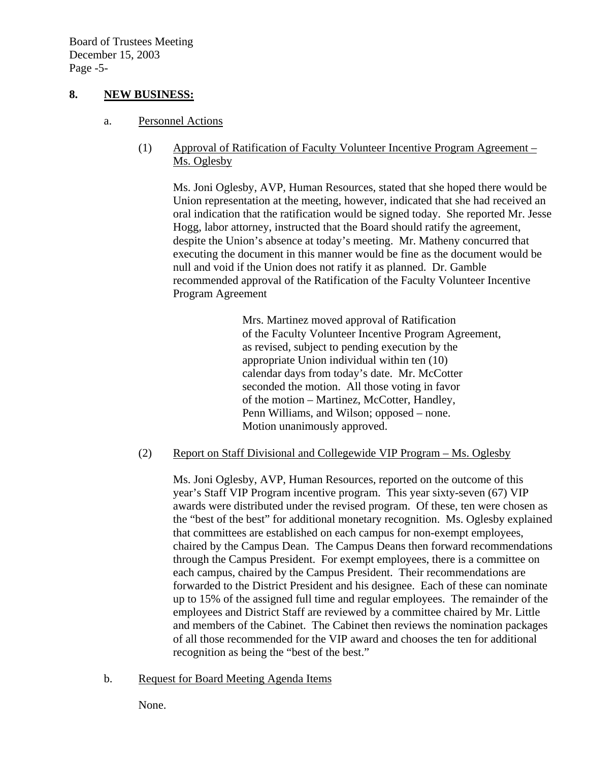### **8. NEW BUSINESS:**

- a. Personnel Actions
	- (1) Approval of Ratification of Faculty Volunteer Incentive Program Agreement Ms. Oglesby

Ms. Joni Oglesby, AVP, Human Resources, stated that she hoped there would be Union representation at the meeting, however, indicated that she had received an oral indication that the ratification would be signed today. She reported Mr. Jesse Hogg, labor attorney, instructed that the Board should ratify the agreement, despite the Union's absence at today's meeting. Mr. Matheny concurred that executing the document in this manner would be fine as the document would be null and void if the Union does not ratify it as planned. Dr. Gamble recommended approval of the Ratification of the Faculty Volunteer Incentive Program Agreement

> Mrs. Martinez moved approval of Ratification of the Faculty Volunteer Incentive Program Agreement, as revised, subject to pending execution by the appropriate Union individual within ten (10) calendar days from today's date. Mr. McCotter seconded the motion. All those voting in favor of the motion – Martinez, McCotter, Handley, Penn Williams, and Wilson; opposed – none. Motion unanimously approved.

#### (2) Report on Staff Divisional and Collegewide VIP Program – Ms. Oglesby

Ms. Joni Oglesby, AVP, Human Resources, reported on the outcome of this year's Staff VIP Program incentive program. This year sixty-seven (67) VIP awards were distributed under the revised program. Of these, ten were chosen as the "best of the best" for additional monetary recognition. Ms. Oglesby explained that committees are established on each campus for non-exempt employees, chaired by the Campus Dean. The Campus Deans then forward recommendations through the Campus President. For exempt employees, there is a committee on each campus, chaired by the Campus President. Their recommendations are forwarded to the District President and his designee. Each of these can nominate up to 15% of the assigned full time and regular employees. The remainder of the employees and District Staff are reviewed by a committee chaired by Mr. Little and members of the Cabinet. The Cabinet then reviews the nomination packages of all those recommended for the VIP award and chooses the ten for additional recognition as being the "best of the best."

b. Request for Board Meeting Agenda Items

None.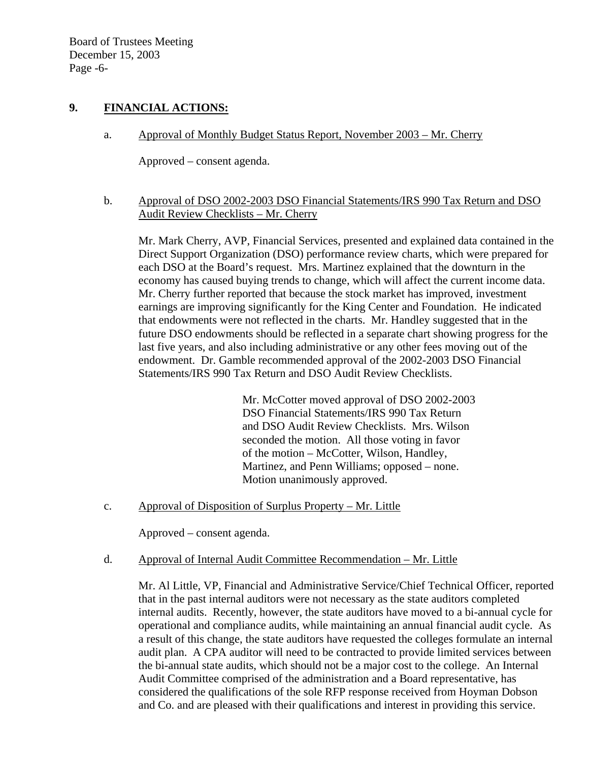Board of Trustees Meeting December 15, 2003 Page -6-

### **9. FINANCIAL ACTIONS:**

a. Approval of Monthly Budget Status Report, November 2003 – Mr. Cherry

Approved – consent agenda.

b. Approval of DSO 2002-2003 DSO Financial Statements/IRS 990 Tax Return and DSO Audit Review Checklists – Mr. Cherry

 Mr. Mark Cherry, AVP, Financial Services, presented and explained data contained in the Direct Support Organization (DSO) performance review charts, which were prepared for each DSO at the Board's request. Mrs. Martinez explained that the downturn in the economy has caused buying trends to change, which will affect the current income data. Mr. Cherry further reported that because the stock market has improved, investment earnings are improving significantly for the King Center and Foundation. He indicated that endowments were not reflected in the charts. Mr. Handley suggested that in the future DSO endowments should be reflected in a separate chart showing progress for the last five years, and also including administrative or any other fees moving out of the endowment. Dr. Gamble recommended approval of the 2002-2003 DSO Financial Statements/IRS 990 Tax Return and DSO Audit Review Checklists.

> Mr. McCotter moved approval of DSO 2002-2003 DSO Financial Statements/IRS 990 Tax Return and DSO Audit Review Checklists. Mrs. Wilson seconded the motion. All those voting in favor of the motion – McCotter, Wilson, Handley, Martinez, and Penn Williams; opposed – none. Motion unanimously approved.

c. Approval of Disposition of Surplus Property – Mr. Little

Approved – consent agenda.

d. Approval of Internal Audit Committee Recommendation – Mr. Little

Mr. Al Little, VP, Financial and Administrative Service/Chief Technical Officer, reported that in the past internal auditors were not necessary as the state auditors completed internal audits. Recently, however, the state auditors have moved to a bi-annual cycle for operational and compliance audits, while maintaining an annual financial audit cycle. As a result of this change, the state auditors have requested the colleges formulate an internal audit plan. A CPA auditor will need to be contracted to provide limited services between the bi-annual state audits, which should not be a major cost to the college. An Internal Audit Committee comprised of the administration and a Board representative, has considered the qualifications of the sole RFP response received from Hoyman Dobson and Co. and are pleased with their qualifications and interest in providing this service.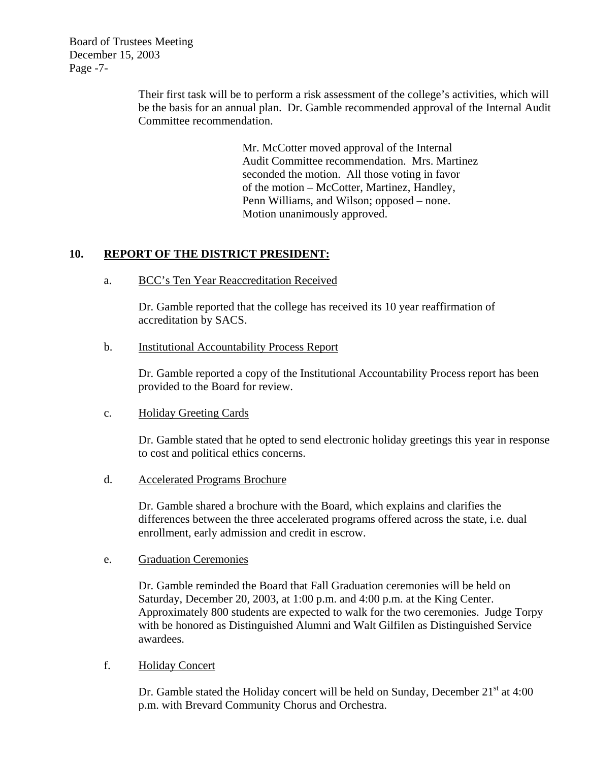Board of Trustees Meeting December 15, 2003 Page -7-

> Their first task will be to perform a risk assessment of the college's activities, which will be the basis for an annual plan. Dr. Gamble recommended approval of the Internal Audit Committee recommendation.

> > Mr. McCotter moved approval of the Internal Audit Committee recommendation. Mrs. Martinez seconded the motion. All those voting in favor of the motion – McCotter, Martinez, Handley, Penn Williams, and Wilson; opposed – none. Motion unanimously approved.

# **10. REPORT OF THE DISTRICT PRESIDENT:**

a. BCC's Ten Year Reaccreditation Received

Dr. Gamble reported that the college has received its 10 year reaffirmation of accreditation by SACS.

b. Institutional Accountability Process Report

Dr. Gamble reported a copy of the Institutional Accountability Process report has been provided to the Board for review.

c. Holiday Greeting Cards

Dr. Gamble stated that he opted to send electronic holiday greetings this year in response to cost and political ethics concerns.

d. Accelerated Programs Brochure

Dr. Gamble shared a brochure with the Board, which explains and clarifies the differences between the three accelerated programs offered across the state, i.e. dual enrollment, early admission and credit in escrow.

e. Graduation Ceremonies

Dr. Gamble reminded the Board that Fall Graduation ceremonies will be held on Saturday, December 20, 2003, at 1:00 p.m. and 4:00 p.m. at the King Center. Approximately 800 students are expected to walk for the two ceremonies. Judge Torpy with be honored as Distinguished Alumni and Walt Gilfilen as Distinguished Service awardees.

f. Holiday Concert

Dr. Gamble stated the Holiday concert will be held on Sunday, December 21<sup>st</sup> at 4:00 p.m. with Brevard Community Chorus and Orchestra.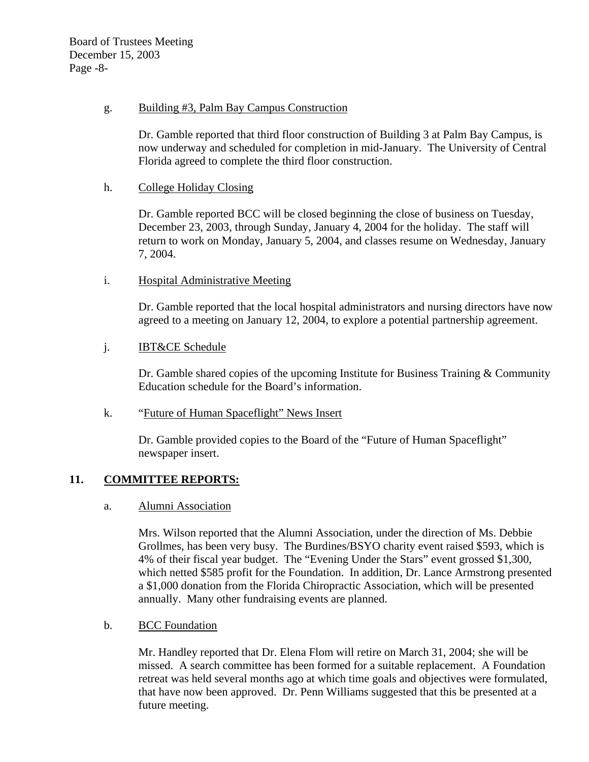#### g. Building #3, Palm Bay Campus Construction

Dr. Gamble reported that third floor construction of Building 3 at Palm Bay Campus, is now underway and scheduled for completion in mid-January. The University of Central Florida agreed to complete the third floor construction.

#### h. College Holiday Closing

Dr. Gamble reported BCC will be closed beginning the close of business on Tuesday, December 23, 2003, through Sunday, January 4, 2004 for the holiday. The staff will return to work on Monday, January 5, 2004, and classes resume on Wednesday, January 7, 2004.

### i. Hospital Administrative Meeting

Dr. Gamble reported that the local hospital administrators and nursing directors have now agreed to a meeting on January 12, 2004, to explore a potential partnership agreement.

#### j. IBT&CE Schedule

Dr. Gamble shared copies of the upcoming Institute for Business Training & Community Education schedule for the Board's information.

#### k. "Future of Human Spaceflight" News Insert

Dr. Gamble provided copies to the Board of the "Future of Human Spaceflight" newspaper insert.

#### **11. COMMITTEE REPORTS:**

#### a. Alumni Association

Mrs. Wilson reported that the Alumni Association, under the direction of Ms. Debbie Grollmes, has been very busy. The Burdines/BSYO charity event raised \$593, which is 4% of their fiscal year budget. The "Evening Under the Stars" event grossed \$1,300, which netted \$585 profit for the Foundation. In addition, Dr. Lance Armstrong presented a \$1,000 donation from the Florida Chiropractic Association, which will be presented annually. Many other fundraising events are planned.

#### b. BCC Foundation

Mr. Handley reported that Dr. Elena Flom will retire on March 31, 2004; she will be missed. A search committee has been formed for a suitable replacement. A Foundation retreat was held several months ago at which time goals and objectives were formulated, that have now been approved. Dr. Penn Williams suggested that this be presented at a future meeting.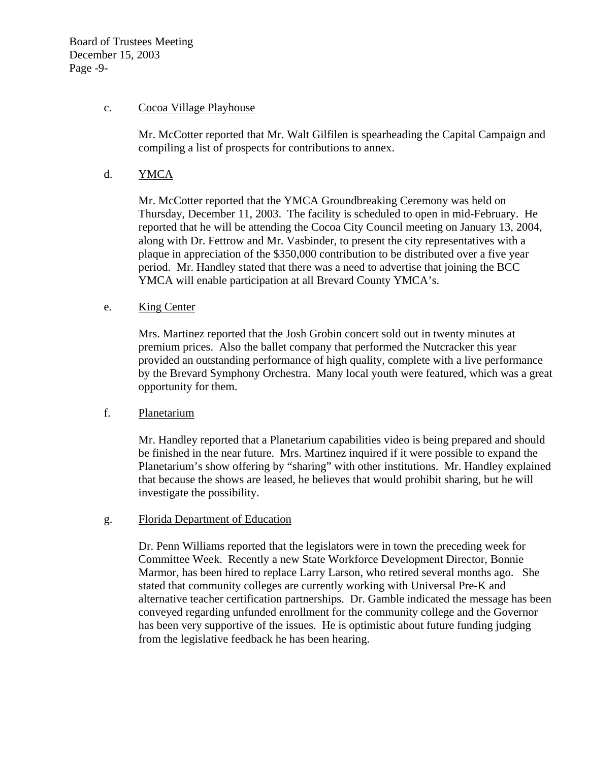#### c. Cocoa Village Playhouse

Mr. McCotter reported that Mr. Walt Gilfilen is spearheading the Capital Campaign and compiling a list of prospects for contributions to annex.

#### d. YMCA

Mr. McCotter reported that the YMCA Groundbreaking Ceremony was held on Thursday, December 11, 2003. The facility is scheduled to open in mid-February. He reported that he will be attending the Cocoa City Council meeting on January 13, 2004, along with Dr. Fettrow and Mr. Vasbinder, to present the city representatives with a plaque in appreciation of the \$350,000 contribution to be distributed over a five year period. Mr. Handley stated that there was a need to advertise that joining the BCC YMCA will enable participation at all Brevard County YMCA's.

#### e. King Center

Mrs. Martinez reported that the Josh Grobin concert sold out in twenty minutes at premium prices. Also the ballet company that performed the Nutcracker this year provided an outstanding performance of high quality, complete with a live performance by the Brevard Symphony Orchestra. Many local youth were featured, which was a great opportunity for them.

#### f. Planetarium

Mr. Handley reported that a Planetarium capabilities video is being prepared and should be finished in the near future. Mrs. Martinez inquired if it were possible to expand the Planetarium's show offering by "sharing" with other institutions. Mr. Handley explained that because the shows are leased, he believes that would prohibit sharing, but he will investigate the possibility.

#### g. Florida Department of Education

Dr. Penn Williams reported that the legislators were in town the preceding week for Committee Week. Recently a new State Workforce Development Director, Bonnie Marmor, has been hired to replace Larry Larson, who retired several months ago. She stated that community colleges are currently working with Universal Pre-K and alternative teacher certification partnerships. Dr. Gamble indicated the message has been conveyed regarding unfunded enrollment for the community college and the Governor has been very supportive of the issues. He is optimistic about future funding judging from the legislative feedback he has been hearing.